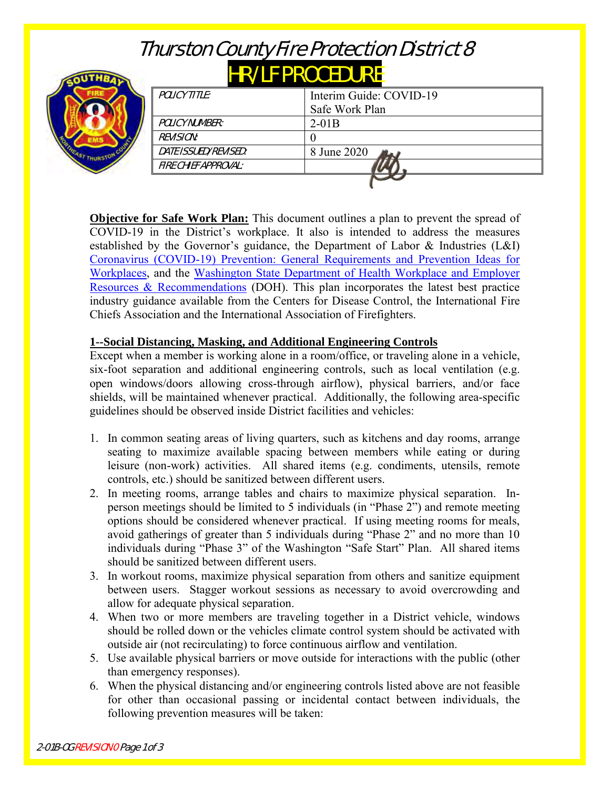# Thurston County Fire Protection District 8

# HR/LF PROCEDURE



| POLICY TITLE:        | Interim Guide: COVID-19 |
|----------------------|-------------------------|
|                      | Safe Work Plan          |
| POLICY NUMBER:       | $2-01B$                 |
| <i>REVISION:</i>     |                         |
| DATE ISSUED/REVISED: | 8 June 2020             |
| FIRE CHIEF APPROVAL: |                         |
|                      |                         |

**Objective for Safe Work Plan:** This document outlines a plan to prevent the spread of COVID-19 in the District's workplace. It also is intended to address the measures established by the Governor's guidance, the Department of Labor & Industries (L&I) [Coronavirus \(COVID-19\) Prevention: General Requirements and Prevention Ideas for](https://lni.wa.gov/forms-publications/F414-164-000.pdf)  [Workplaces,](https://lni.wa.gov/forms-publications/F414-164-000.pdf) and the [Washington State Department of Health Workplace and Employer](https://www.doh.wa.gov/Coronavirus/workplace)  [Resources & Recommendations](https://www.doh.wa.gov/Coronavirus/workplace) (DOH). This plan incorporates the latest best practice industry guidance available from the Centers for Disease Control, the International Fire Chiefs Association and the International Association of Firefighters.

# **1--Social Distancing, Masking, and Additional Engineering Controls**

Except when a member is working alone in a room/office, or traveling alone in a vehicle, six-foot separation and additional engineering controls, such as local ventilation (e.g. open windows/doors allowing cross-through airflow), physical barriers, and/or face shields, will be maintained whenever practical. Additionally, the following area-specific guidelines should be observed inside District facilities and vehicles:

- 1. In common seating areas of living quarters, such as kitchens and day rooms, arrange seating to maximize available spacing between members while eating or during leisure (non-work) activities. All shared items (e.g. condiments, utensils, remote controls, etc.) should be sanitized between different users.
- 2. In meeting rooms, arrange tables and chairs to maximize physical separation. Inperson meetings should be limited to 5 individuals (in "Phase 2") and remote meeting options should be considered whenever practical. If using meeting rooms for meals, avoid gatherings of greater than 5 individuals during "Phase 2" and no more than 10 individuals during "Phase 3" of the Washington "Safe Start" Plan. All shared items should be sanitized between different users.
- 3. In workout rooms, maximize physical separation from others and sanitize equipment between users. Stagger workout sessions as necessary to avoid overcrowding and allow for adequate physical separation.
- 4. When two or more members are traveling together in a District vehicle, windows should be rolled down or the vehicles climate control system should be activated with outside air (not recirculating) to force continuous airflow and ventilation.
- 5. Use available physical barriers or move outside for interactions with the public (other than emergency responses).
- 6. When the physical distancing and/or engineering controls listed above are not feasible for other than occasional passing or incidental contact between individuals, the following prevention measures will be taken: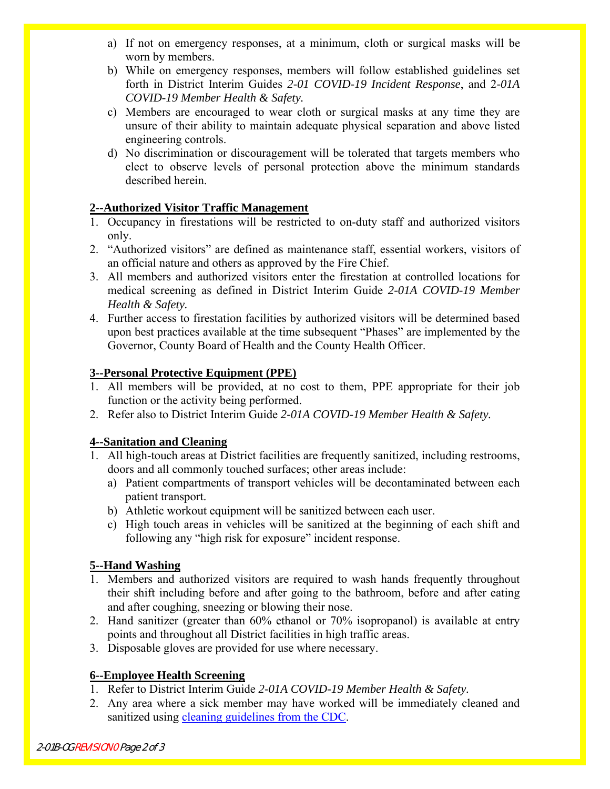- a) If not on emergency responses, at a minimum, cloth or surgical masks will be worn by members.
- b) While on emergency responses, members will follow established guidelines set forth in District Interim Guides *2-01 COVID-19 Incident Response*, and 2*-01A COVID-19 Member Health & Safety.*
- c) Members are encouraged to wear cloth or surgical masks at any time they are unsure of their ability to maintain adequate physical separation and above listed engineering controls.
- d) No discrimination or discouragement will be tolerated that targets members who elect to observe levels of personal protection above the minimum standards described herein.

# **2--Authorized Visitor Traffic Management**

- 1. Occupancy in firestations will be restricted to on-duty staff and authorized visitors only.
- 2. "Authorized visitors" are defined as maintenance staff, essential workers, visitors of an official nature and others as approved by the Fire Chief.
- 3. All members and authorized visitors enter the firestation at controlled locations for medical screening as defined in District Interim Guide *2-01A COVID-19 Member Health & Safety.*
- 4. Further access to firestation facilities by authorized visitors will be determined based upon best practices available at the time subsequent "Phases" are implemented by the Governor, County Board of Health and the County Health Officer.

# **3--Personal Protective Equipment (PPE)**

- 1. All members will be provided, at no cost to them, PPE appropriate for their job function or the activity being performed.
- 2. Refer also to District Interim Guide *2-01A COVID-19 Member Health & Safety.*

# **4--Sanitation and Cleaning**

- 1. All high-touch areas at District facilities are frequently sanitized, including restrooms, doors and all commonly touched surfaces; other areas include:
	- a) Patient compartments of transport vehicles will be decontaminated between each patient transport.
	- b) Athletic workout equipment will be sanitized between each user.
	- c) High touch areas in vehicles will be sanitized at the beginning of each shift and following any "high risk for exposure" incident response.

#### **5--Hand Washing**

- 1. Members and authorized visitors are required to wash hands frequently throughout their shift including before and after going to the bathroom, before and after eating and after coughing, sneezing or blowing their nose.
- 2. Hand sanitizer (greater than 60% ethanol or 70% isopropanol) is available at entry points and throughout all District facilities in high traffic areas.
- 3. Disposable gloves are provided for use where necessary.

# **6--Employee Health Screening**

- 1. Refer to District Interim Guide *2-01A COVID-19 Member Health & Safety.*
- 2. Any area where a sick member may have worked will be immediately cleaned and sanitized using [cleaning guidelines from the CDC.](https://www.cdc.gov/coronavirus/2019-ncov/community/pdf/Reopening_America_Guidance.pdf)